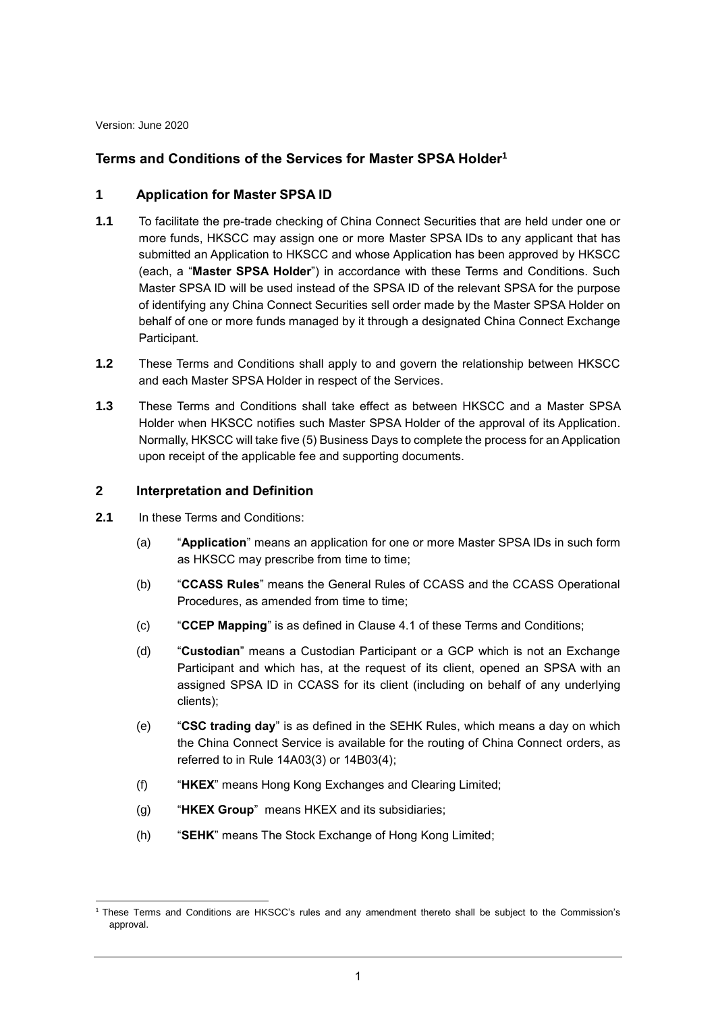Version: June 2020

# **Terms and Conditions of the Services for Master SPSA Holder<sup>1</sup>**

### **1 Application for Master SPSA ID**

- **1.1** To facilitate the pre-trade checking of China Connect Securities that are held under one or more funds, HKSCC may assign one or more Master SPSA IDs to any applicant that has submitted an Application to HKSCC and whose Application has been approved by HKSCC (each, a "**Master SPSA Holder**") in accordance with these Terms and Conditions. Such Master SPSA ID will be used instead of the SPSA ID of the relevant SPSA for the purpose of identifying any China Connect Securities sell order made by the Master SPSA Holder on behalf of one or more funds managed by it through a designated China Connect Exchange Participant.
- **1.2** These Terms and Conditions shall apply to and govern the relationship between HKSCC and each Master SPSA Holder in respect of the Services.
- **1.3** These Terms and Conditions shall take effect as between HKSCC and a Master SPSA Holder when HKSCC notifies such Master SPSA Holder of the approval of its Application. Normally, HKSCC will take five (5) Business Days to complete the process for an Application upon receipt of the applicable fee and supporting documents.

### **2 Interpretation and Definition**

- **2.1** In these Terms and Conditions:
	- (a) "**Application**" means an application for one or more Master SPSA IDs in such form as HKSCC may prescribe from time to time;
	- (b) "**CCASS Rules**" means the General Rules of CCASS and the CCASS Operational Procedures, as amended from time to time;
	- (c) "**CCEP Mapping**" is as defined in Clause [4.1](#page-2-0) of these Terms and Conditions;
	- (d) "**Custodian**" means a Custodian Participant or a GCP which is not an Exchange Participant and which has, at the request of its client, opened an SPSA with an assigned SPSA ID in CCASS for its client (including on behalf of any underlying clients);
	- (e) "**CSC trading day**" is as defined in the SEHK Rules, which means a day on which the China Connect Service is available for the routing of China Connect orders, as referred to in Rule 14A03(3) or 14B03(4);
	- (f) "**HKEX**" means Hong Kong Exchanges and Clearing Limited;
	- (g) "**HKEX Group**" means HKEX and its subsidiaries;
	- (h) "**SEHK**" means The Stock Exchange of Hong Kong Limited;

<sup>-</sup><sup>1</sup> These Terms and Conditions are HKSCC's rules and any amendment thereto shall be subject to the Commission's approval.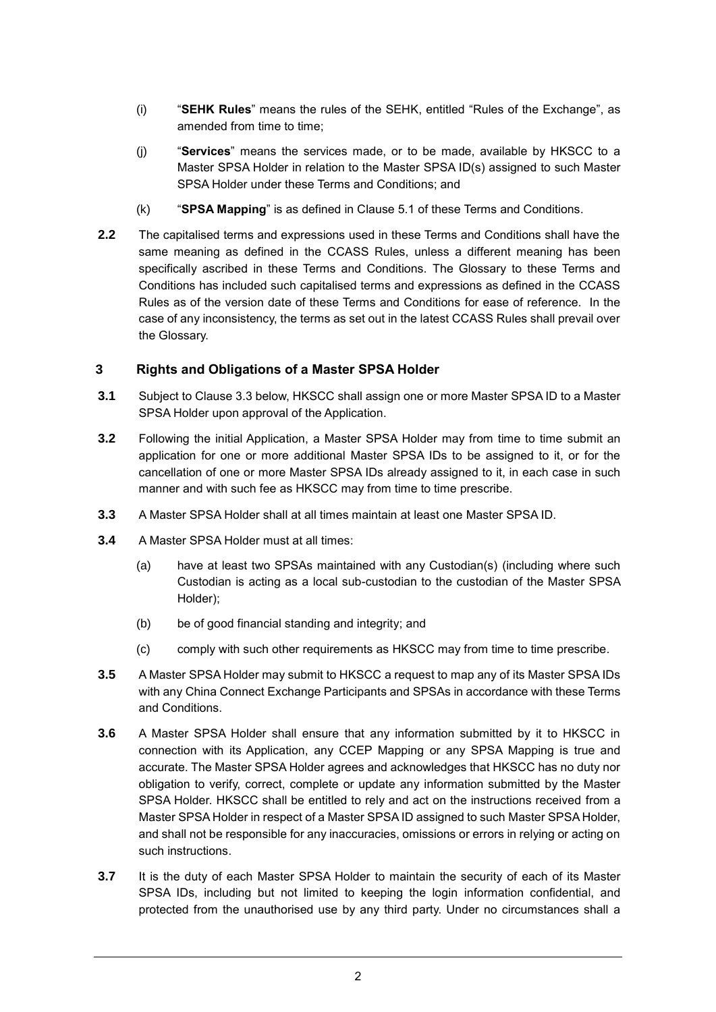- (i) "**SEHK Rules**" means the rules of the SEHK, entitled "Rules of the Exchange", as amended from time to time;
- (j) "**Services**" means the services made, or to be made, available by HKSCC to a Master SPSA Holder in relation to the Master SPSA ID(s) assigned to such Master SPSA Holder under these Terms and Conditions; and
- (k) "**SPSA Mapping**" is as defined in Clause [5.1](#page-2-1) of these Terms and Conditions.
- **2.2** The capitalised terms and expressions used in these Terms and Conditions shall have the same meaning as defined in the CCASS Rules, unless a different meaning has been specifically ascribed in these Terms and Conditions. The Glossary to these Terms and Conditions has included such capitalised terms and expressions as defined in the CCASS Rules as of the version date of these Terms and Conditions for ease of reference. In the case of any inconsistency, the terms as set out in the latest CCASS Rules shall prevail over the Glossary.

#### **3 Rights and Obligations of a Master SPSA Holder**

- **3.1** Subject to Clause [3.3](#page-1-0) below, HKSCC shall assign one or more Master SPSA ID to a Master SPSA Holder upon approval of the Application.
- **3.2** Following the initial Application, a Master SPSA Holder may from time to time submit an application for one or more additional Master SPSA IDs to be assigned to it, or for the cancellation of one or more Master SPSA IDs already assigned to it, in each case in such manner and with such fee as HKSCC may from time to time prescribe.
- <span id="page-1-0"></span>**3.3** A Master SPSA Holder shall at all times maintain at least one Master SPSA ID.
- **3.4** A Master SPSA Holder must at all times:
	- (a) have at least two SPSAs maintained with any Custodian(s) (including where such Custodian is acting as a local sub-custodian to the custodian of the Master SPSA Holder);
	- (b) be of good financial standing and integrity; and
	- (c) comply with such other requirements as HKSCC may from time to time prescribe.
- **3.5** A Master SPSA Holder may submit to HKSCC a request to map any of its Master SPSA IDs with any China Connect Exchange Participants and SPSAs in accordance with these Terms and Conditions.
- **3.6** A Master SPSA Holder shall ensure that any information submitted by it to HKSCC in connection with its Application, any CCEP Mapping or any SPSA Mapping is true and accurate. The Master SPSA Holder agrees and acknowledges that HKSCC has no duty nor obligation to verify, correct, complete or update any information submitted by the Master SPSA Holder. HKSCC shall be entitled to rely and act on the instructions received from a Master SPSA Holder in respect of a Master SPSA ID assigned to such Master SPSA Holder, and shall not be responsible for any inaccuracies, omissions or errors in relying or acting on such instructions.
- **3.7** It is the duty of each Master SPSA Holder to maintain the security of each of its Master SPSA IDs, including but not limited to keeping the login information confidential, and protected from the unauthorised use by any third party. Under no circumstances shall a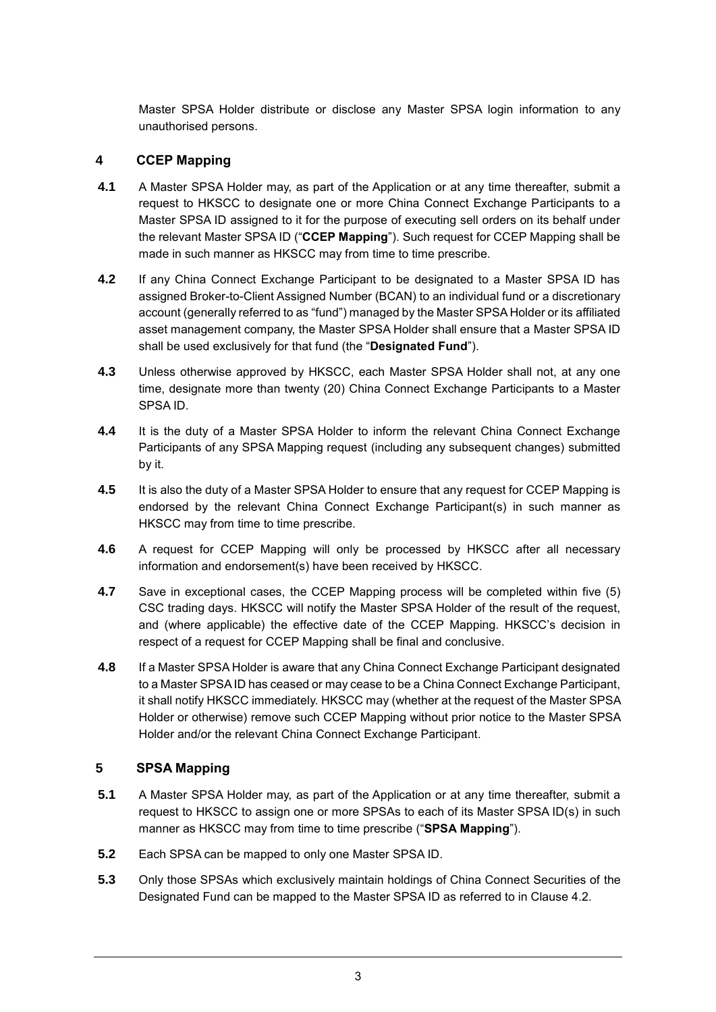<span id="page-2-0"></span>Master SPSA Holder distribute or disclose any Master SPSA login information to any unauthorised persons.

### **4 CCEP Mapping**

- **4.1** A Master SPSA Holder may, as part of the Application or at any time thereafter, submit a request to HKSCC to designate one or more China Connect Exchange Participants to a Master SPSA ID assigned to it for the purpose of executing sell orders on its behalf under the relevant Master SPSA ID ("**CCEP Mapping**"). Such request for CCEP Mapping shall be made in such manner as HKSCC may from time to time prescribe.
- **4.2** If any China Connect Exchange Participant to be designated to a Master SPSA ID has assigned Broker-to-Client Assigned Number (BCAN) to an individual fund or a discretionary account (generally referred to as "fund") managed by the Master SPSA Holder or its affiliated asset management company, the Master SPSA Holder shall ensure that a Master SPSA ID shall be used exclusively for that fund (the "**Designated Fund**").
- **4.3** Unless otherwise approved by HKSCC, each Master SPSA Holder shall not, at any one time, designate more than twenty (20) China Connect Exchange Participants to a Master SPSA ID.
- **4.4** It is the duty of a Master SPSA Holder to inform the relevant China Connect Exchange Participants of any SPSA Mapping request (including any subsequent changes) submitted by it.
- **4.5** It is also the duty of a Master SPSA Holder to ensure that any request for CCEP Mapping is endorsed by the relevant China Connect Exchange Participant(s) in such manner as HKSCC may from time to time prescribe.
- **4.6** A request for CCEP Mapping will only be processed by HKSCC after all necessary information and endorsement(s) have been received by HKSCC.
- **4.7** Save in exceptional cases, the CCEP Mapping process will be completed within five (5) CSC trading days. HKSCC will notify the Master SPSA Holder of the result of the request, and (where applicable) the effective date of the CCEP Mapping. HKSCC's decision in respect of a request for CCEP Mapping shall be final and conclusive.
- **4.8** If a Master SPSA Holder is aware that any China Connect Exchange Participant designated to a Master SPSA ID has ceased or may cease to be a China Connect Exchange Participant, it shall notify HKSCC immediately. HKSCC may (whether at the request of the Master SPSA Holder or otherwise) remove such CCEP Mapping without prior notice to the Master SPSA Holder and/or the relevant China Connect Exchange Participant.

### **5 SPSA Mapping**

- <span id="page-2-1"></span>**5.1** A Master SPSA Holder may, as part of the Application or at any time thereafter, submit a request to HKSCC to assign one or more SPSAs to each of its Master SPSA ID(s) in such manner as HKSCC may from time to time prescribe ("**SPSA Mapping**").
- **5.2** Each SPSA can be mapped to only one Master SPSA ID.
- **5.3** Only those SPSAs which exclusively maintain holdings of China Connect Securities of the Designated Fund can be mapped to the Master SPSA ID as referred to in Clause 4.2.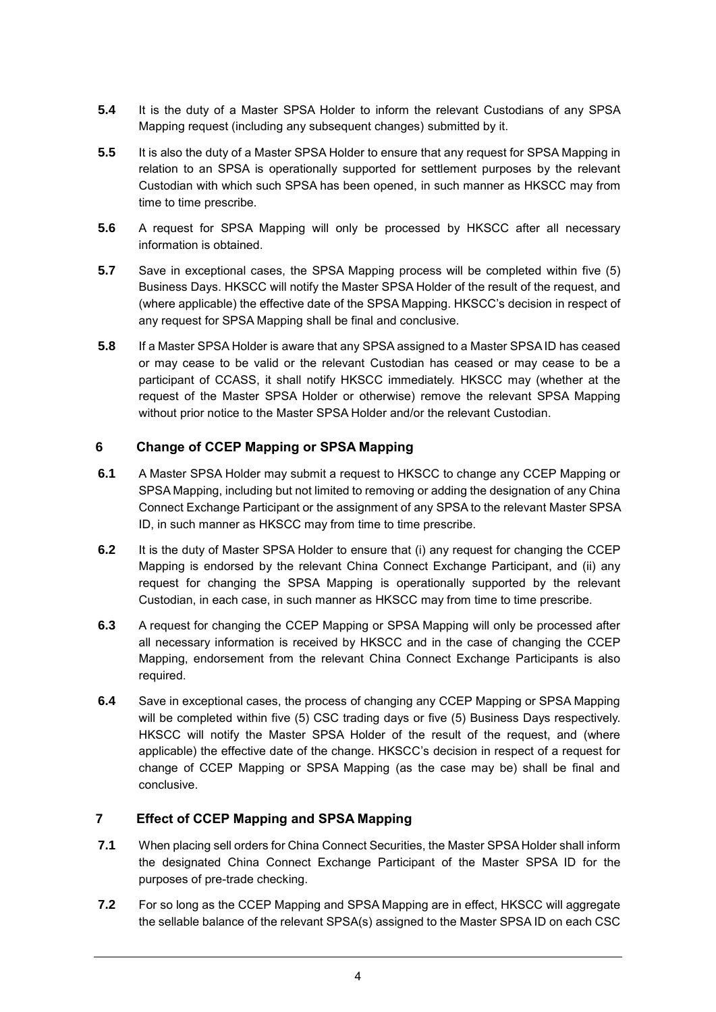- **5.4** It is the duty of a Master SPSA Holder to inform the relevant Custodians of any SPSA Mapping request (including any subsequent changes) submitted by it.
- **5.5** It is also the duty of a Master SPSA Holder to ensure that any request for SPSA Mapping in relation to an SPSA is operationally supported for settlement purposes by the relevant Custodian with which such SPSA has been opened, in such manner as HKSCC may from time to time prescribe.
- **5.6** A request for SPSA Mapping will only be processed by HKSCC after all necessary information is obtained.
- **5.7** Save in exceptional cases, the SPSA Mapping process will be completed within five (5) Business Days. HKSCC will notify the Master SPSA Holder of the result of the request, and (where applicable) the effective date of the SPSA Mapping. HKSCC's decision in respect of any request for SPSA Mapping shall be final and conclusive.
- **5.8** If a Master SPSA Holder is aware that any SPSA assigned to a Master SPSA ID has ceased or may cease to be valid or the relevant Custodian has ceased or may cease to be a participant of CCASS, it shall notify HKSCC immediately. HKSCC may (whether at the request of the Master SPSA Holder or otherwise) remove the relevant SPSA Mapping without prior notice to the Master SPSA Holder and/or the relevant Custodian.

# **6 Change of CCEP Mapping or SPSA Mapping**

- **6.1** A Master SPSA Holder may submit a request to HKSCC to change any CCEP Mapping or SPSA Mapping, including but not limited to removing or adding the designation of any China Connect Exchange Participant or the assignment of any SPSA to the relevant Master SPSA ID, in such manner as HKSCC may from time to time prescribe.
- **6.2** It is the duty of Master SPSA Holder to ensure that (i) any request for changing the CCEP Mapping is endorsed by the relevant China Connect Exchange Participant, and (ii) any request for changing the SPSA Mapping is operationally supported by the relevant Custodian, in each case, in such manner as HKSCC may from time to time prescribe.
- **6.3** A request for changing the CCEP Mapping or SPSA Mapping will only be processed after all necessary information is received by HKSCC and in the case of changing the CCEP Mapping, endorsement from the relevant China Connect Exchange Participants is also required.
- **6.4** Save in exceptional cases, the process of changing any CCEP Mapping or SPSA Mapping will be completed within five (5) CSC trading days or five (5) Business Days respectively. HKSCC will notify the Master SPSA Holder of the result of the request, and (where applicable) the effective date of the change. HKSCC's decision in respect of a request for change of CCEP Mapping or SPSA Mapping (as the case may be) shall be final and conclusive.

# **7 Effect of CCEP Mapping and SPSA Mapping**

- **7.1** When placing sell orders for China Connect Securities, the Master SPSA Holder shall inform the designated China Connect Exchange Participant of the Master SPSA ID for the purposes of pre-trade checking.
- **7.2** For so long as the CCEP Mapping and SPSA Mapping are in effect, HKSCC will aggregate the sellable balance of the relevant SPSA(s) assigned to the Master SPSA ID on each CSC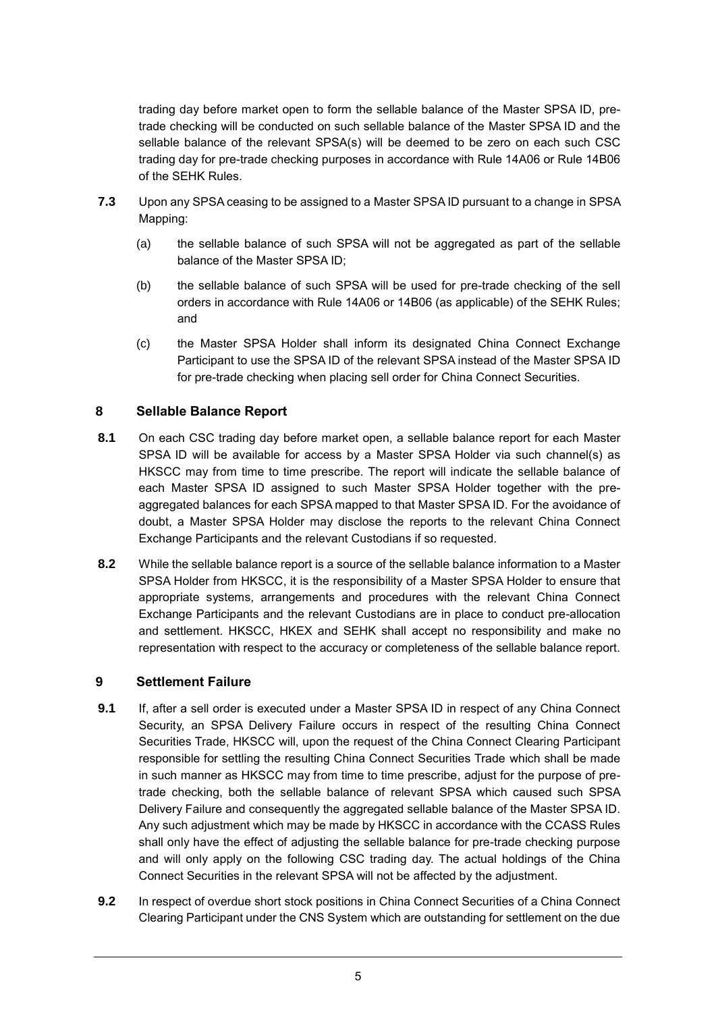trading day before market open to form the sellable balance of the Master SPSA ID, pretrade checking will be conducted on such sellable balance of the Master SPSA ID and the sellable balance of the relevant SPSA(s) will be deemed to be zero on each such CSC trading day for pre-trade checking purposes in accordance with Rule 14A06 or Rule 14B06 of the SEHK Rules.

- **7.3** Upon any SPSA ceasing to be assigned to a Master SPSA ID pursuant to a change in SPSA Mapping:
	- (a) the sellable balance of such SPSA will not be aggregated as part of the sellable balance of the Master SPSA ID;
	- (b) the sellable balance of such SPSA will be used for pre-trade checking of the sell orders in accordance with Rule 14A06 or 14B06 (as applicable) of the SEHK Rules; and
	- (c) the Master SPSA Holder shall inform its designated China Connect Exchange Participant to use the SPSA ID of the relevant SPSA instead of the Master SPSA ID for pre-trade checking when placing sell order for China Connect Securities.

### **8 Sellable Balance Report**

- **8.1** On each CSC trading day before market open, a sellable balance report for each Master SPSA ID will be available for access by a Master SPSA Holder via such channel(s) as HKSCC may from time to time prescribe. The report will indicate the sellable balance of each Master SPSA ID assigned to such Master SPSA Holder together with the preaggregated balances for each SPSA mapped to that Master SPSA ID. For the avoidance of doubt, a Master SPSA Holder may disclose the reports to the relevant China Connect Exchange Participants and the relevant Custodians if so requested.
- **8.2** While the sellable balance report is a source of the sellable balance information to a Master SPSA Holder from HKSCC, it is the responsibility of a Master SPSA Holder to ensure that appropriate systems, arrangements and procedures with the relevant China Connect Exchange Participants and the relevant Custodians are in place to conduct pre-allocation and settlement. HKSCC, HKEX and SEHK shall accept no responsibility and make no representation with respect to the accuracy or completeness of the sellable balance report.

#### **9 Settlement Failure**

- <span id="page-4-0"></span>**9.1** If, after a sell order is executed under a Master SPSA ID in respect of any China Connect Security, an SPSA Delivery Failure occurs in respect of the resulting China Connect Securities Trade, HKSCC will, upon the request of the China Connect Clearing Participant responsible for settling the resulting China Connect Securities Trade which shall be made in such manner as HKSCC may from time to time prescribe, adjust for the purpose of pretrade checking, both the sellable balance of relevant SPSA which caused such SPSA Delivery Failure and consequently the aggregated sellable balance of the Master SPSA ID. Any such adjustment which may be made by HKSCC in accordance with the CCASS Rules shall only have the effect of adjusting the sellable balance for pre-trade checking purpose and will only apply on the following CSC trading day. The actual holdings of the China Connect Securities in the relevant SPSA will not be affected by the adjustment.
- **9.2** In respect of overdue short stock positions in China Connect Securities of a China Connect Clearing Participant under the CNS System which are outstanding for settlement on the due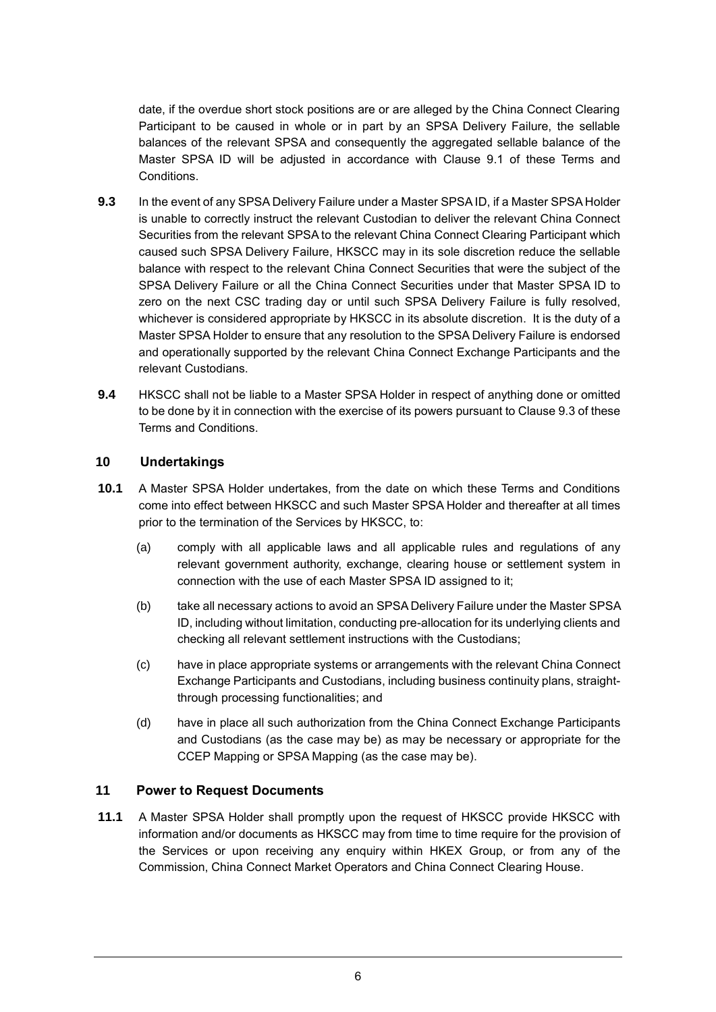date, if the overdue short stock positions are or are alleged by the China Connect Clearing Participant to be caused in whole or in part by an SPSA Delivery Failure, the sellable balances of the relevant SPSA and consequently the aggregated sellable balance of the Master SPSA ID will be adjusted in accordance with Clause [9.1](#page-4-0) of these Terms and Conditions.

- **9.3** In the event of any SPSA Delivery Failure under a Master SPSA ID, if a Master SPSA Holder is unable to correctly instruct the relevant Custodian to deliver the relevant China Connect Securities from the relevant SPSA to the relevant China Connect Clearing Participant which caused such SPSA Delivery Failure, HKSCC may in its sole discretion reduce the sellable balance with respect to the relevant China Connect Securities that were the subject of the SPSA Delivery Failure or all the China Connect Securities under that Master SPSA ID to zero on the next CSC trading day or until such SPSA Delivery Failure is fully resolved, whichever is considered appropriate by HKSCC in its absolute discretion. It is the duty of a Master SPSA Holder to ensure that any resolution to the SPSA Delivery Failure is endorsed and operationally supported by the relevant China Connect Exchange Participants and the relevant Custodians.
- <span id="page-5-0"></span>**9.4** HKSCC shall not be liable to a Master SPSA Holder in respect of anything done or omitted to be done by it in connection with the exercise of its powers pursuant to Claus[e 9.3](#page-5-0) of these Terms and Conditions.

### **10 Undertakings**

- **10.1** A Master SPSA Holder undertakes, from the date on which these Terms and Conditions come into effect between HKSCC and such Master SPSA Holder and thereafter at all times prior to the termination of the Services by HKSCC, to:
	- (a) comply with all applicable laws and all applicable rules and regulations of any relevant government authority, exchange, clearing house or settlement system in connection with the use of each Master SPSA ID assigned to it;
	- (b) take all necessary actions to avoid an SPSA Delivery Failure under the Master SPSA ID, including without limitation, conducting pre-allocation for its underlying clients and checking all relevant settlement instructions with the Custodians;
	- (c) have in place appropriate systems or arrangements with the relevant China Connect Exchange Participants and Custodians, including business continuity plans, straightthrough processing functionalities; and
	- (d) have in place all such authorization from the China Connect Exchange Participants and Custodians (as the case may be) as may be necessary or appropriate for the CCEP Mapping or SPSA Mapping (as the case may be).

#### **11 Power to Request Documents**

**11.1** A Master SPSA Holder shall promptly upon the request of HKSCC provide HKSCC with information and/or documents as HKSCC may from time to time require for the provision of the Services or upon receiving any enquiry within HKEX Group, or from any of the Commission, China Connect Market Operators and China Connect Clearing House.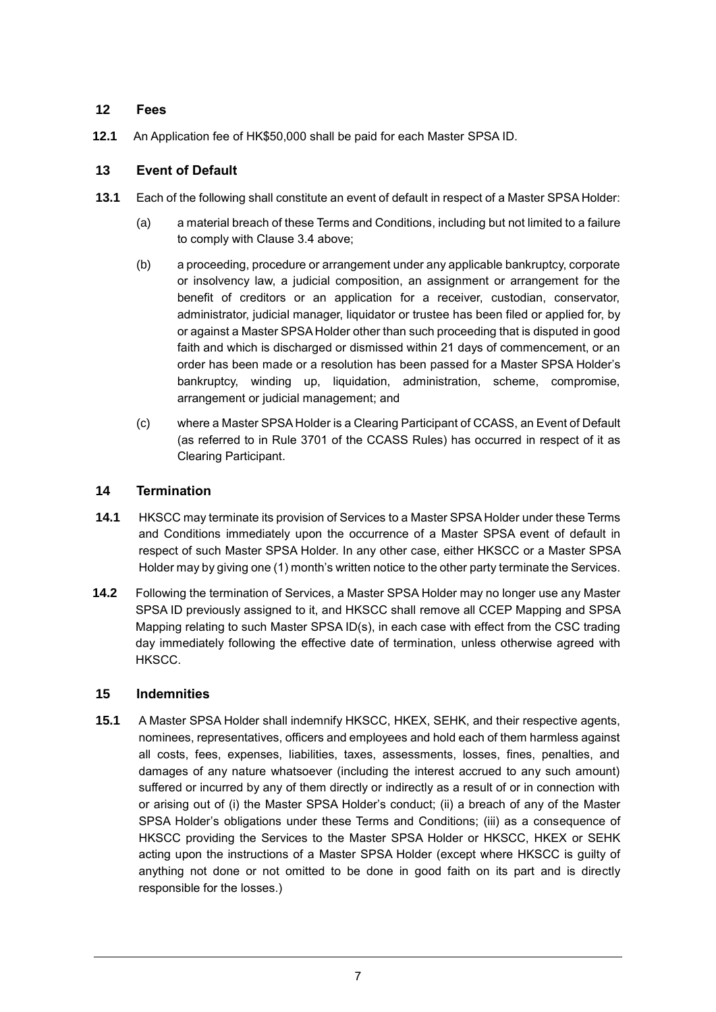### **12 Fees**

**12.1** An Application fee of HK\$50,000 shall be paid for each Master SPSA ID.

### **13 Event of Default**

- **13.1** Each of the following shall constitute an event of default in respect of a Master SPSA Holder:
	- (a) a material breach of these Terms and Conditions, including but not limited to a failure to comply with Clause 3.4 above;
	- (b) a proceeding, procedure or arrangement under any applicable bankruptcy, corporate or insolvency law, a judicial composition, an assignment or arrangement for the benefit of creditors or an application for a receiver, custodian, conservator, administrator, judicial manager, liquidator or trustee has been filed or applied for, by or against a Master SPSA Holder other than such proceeding that is disputed in good faith and which is discharged or dismissed within 21 days of commencement, or an order has been made or a resolution has been passed for a Master SPSA Holder's bankruptcy, winding up, liquidation, administration, scheme, compromise, arrangement or judicial management; and
	- (c) where a Master SPSA Holder is a Clearing Participant of CCASS, an Event of Default (as referred to in Rule 3701 of the CCASS Rules) has occurred in respect of it as Clearing Participant.

### **14 Termination**

- **14.1** HKSCC may terminate its provision of Services to a Master SPSA Holder under these Terms and Conditions immediately upon the occurrence of a Master SPSA event of default in respect of such Master SPSA Holder. In any other case, either HKSCC or a Master SPSA Holder may by giving one (1) month's written notice to the other party terminate the Services.
- **14.2** Following the termination of Services, a Master SPSA Holder may no longer use any Master SPSA ID previously assigned to it, and HKSCC shall remove all CCEP Mapping and SPSA Mapping relating to such Master SPSA ID(s), in each case with effect from the CSC trading day immediately following the effective date of termination, unless otherwise agreed with HKSCC.

### **15 Indemnities**

**15.1** A Master SPSA Holder shall indemnify HKSCC, HKEX, SEHK, and their respective agents, nominees, representatives, officers and employees and hold each of them harmless against all costs, fees, expenses, liabilities, taxes, assessments, losses, fines, penalties, and damages of any nature whatsoever (including the interest accrued to any such amount) suffered or incurred by any of them directly or indirectly as a result of or in connection with or arising out of (i) the Master SPSA Holder's conduct; (ii) a breach of any of the Master SPSA Holder's obligations under these Terms and Conditions; (iii) as a consequence of HKSCC providing the Services to the Master SPSA Holder or HKSCC, HKEX or SEHK acting upon the instructions of a Master SPSA Holder (except where HKSCC is guilty of anything not done or not omitted to be done in good faith on its part and is directly responsible for the losses.)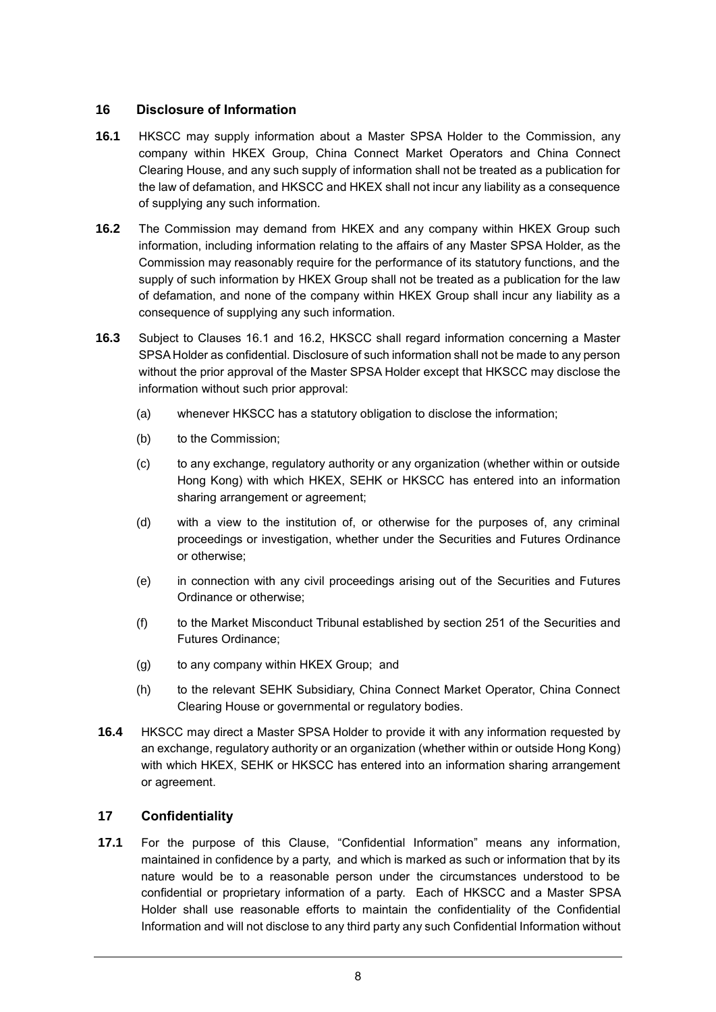### **16 Disclosure of Information**

- **16.1** HKSCC may supply information about a Master SPSA Holder to the Commission, any company within HKEX Group, China Connect Market Operators and China Connect Clearing House, and any such supply of information shall not be treated as a publication for the law of defamation, and HKSCC and HKEX shall not incur any liability as a consequence of supplying any such information.
- **16.2** The Commission may demand from HKEX and any company within HKEX Group such information, including information relating to the affairs of any Master SPSA Holder, as the Commission may reasonably require for the performance of its statutory functions, and the supply of such information by HKEX Group shall not be treated as a publication for the law of defamation, and none of the company within HKEX Group shall incur any liability as a consequence of supplying any such information.
- **16.3** Subject to Clauses 16.1 and 16.2, HKSCC shall regard information concerning a Master SPSA Holder as confidential. Disclosure of such information shall not be made to any person without the prior approval of the Master SPSA Holder except that HKSCC may disclose the information without such prior approval:
	- (a) whenever HKSCC has a statutory obligation to disclose the information;
	- (b) to the Commission:
	- (c) to any exchange, regulatory authority or any organization (whether within or outside Hong Kong) with which HKEX, SEHK or HKSCC has entered into an information sharing arrangement or agreement;
	- (d) with a view to the institution of, or otherwise for the purposes of, any criminal proceedings or investigation, whether under the Securities and Futures Ordinance or otherwise;
	- (e) in connection with any civil proceedings arising out of the Securities and Futures Ordinance or otherwise;
	- (f) to the Market Misconduct Tribunal established by section 251 of the Securities and Futures Ordinance;
	- (g) to any company within HKEX Group; and
	- (h) to the relevant SEHK Subsidiary, China Connect Market Operator, China Connect Clearing House or governmental or regulatory bodies.
- **16.4** HKSCC may direct a Master SPSA Holder to provide it with any information requested by an exchange, regulatory authority or an organization (whether within or outside Hong Kong) with which HKEX, SEHK or HKSCC has entered into an information sharing arrangement or agreement.

### **17 Confidentiality**

**17.1** For the purpose of this Clause, "Confidential Information" means any information, maintained in confidence by a party, and which is marked as such or information that by its nature would be to a reasonable person under the circumstances understood to be confidential or proprietary information of a party. Each of HKSCC and a Master SPSA Holder shall use reasonable efforts to maintain the confidentiality of the Confidential Information and will not disclose to any third party any such Confidential Information without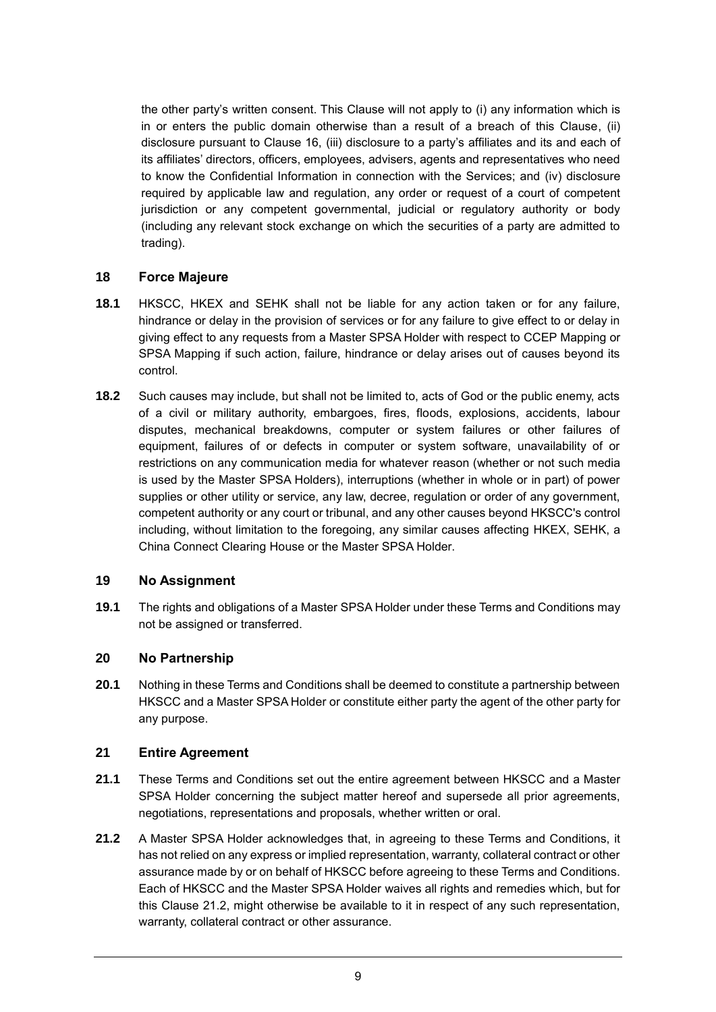the other party's written consent. This Clause will not apply to (i) any information which is in or enters the public domain otherwise than a result of a breach of this Clause, (ii) disclosure pursuant to Clause 16, (iii) disclosure to a party's affiliates and its and each of its affiliates' directors, officers, employees, advisers, agents and representatives who need to know the Confidential Information in connection with the Services; and (iv) disclosure required by applicable law and regulation, any order or request of a court of competent jurisdiction or any competent governmental, judicial or regulatory authority or body (including any relevant stock exchange on which the securities of a party are admitted to trading).

### **18 Force Majeure**

- **18.1** HKSCC, HKEX and SEHK shall not be liable for any action taken or for any failure, hindrance or delay in the provision of services or for any failure to give effect to or delay in giving effect to any requests from a Master SPSA Holder with respect to CCEP Mapping or SPSA Mapping if such action, failure, hindrance or delay arises out of causes beyond its control.
- **18.2** Such causes may include, but shall not be limited to, acts of God or the public enemy, acts of a civil or military authority, embargoes, fires, floods, explosions, accidents, labour disputes, mechanical breakdowns, computer or system failures or other failures of equipment, failures of or defects in computer or system software, unavailability of or restrictions on any communication media for whatever reason (whether or not such media is used by the Master SPSA Holders), interruptions (whether in whole or in part) of power supplies or other utility or service, any law, decree, regulation or order of any government, competent authority or any court or tribunal, and any other causes beyond HKSCC's control including, without limitation to the foregoing, any similar causes affecting HKEX, SEHK, a China Connect Clearing House or the Master SPSA Holder.

### **19 No Assignment**

**19.1** The rights and obligations of a Master SPSA Holder under these Terms and Conditions may not be assigned or transferred.

### **20 No Partnership**

**20.1** Nothing in these Terms and Conditions shall be deemed to constitute a partnership between HKSCC and a Master SPSA Holder or constitute either party the agent of the other party for any purpose.

### **21 Entire Agreement**

- **21.1** These Terms and Conditions set out the entire agreement between HKSCC and a Master SPSA Holder concerning the subject matter hereof and supersede all prior agreements, negotiations, representations and proposals, whether written or oral.
- **21.2** A Master SPSA Holder acknowledges that, in agreeing to these Terms and Conditions, it has not relied on any express or implied representation, warranty, collateral contract or other assurance made by or on behalf of HKSCC before agreeing to these Terms and Conditions. Each of HKSCC and the Master SPSA Holder waives all rights and remedies which, but for this Clause 21.2, might otherwise be available to it in respect of any such representation, warranty, collateral contract or other assurance.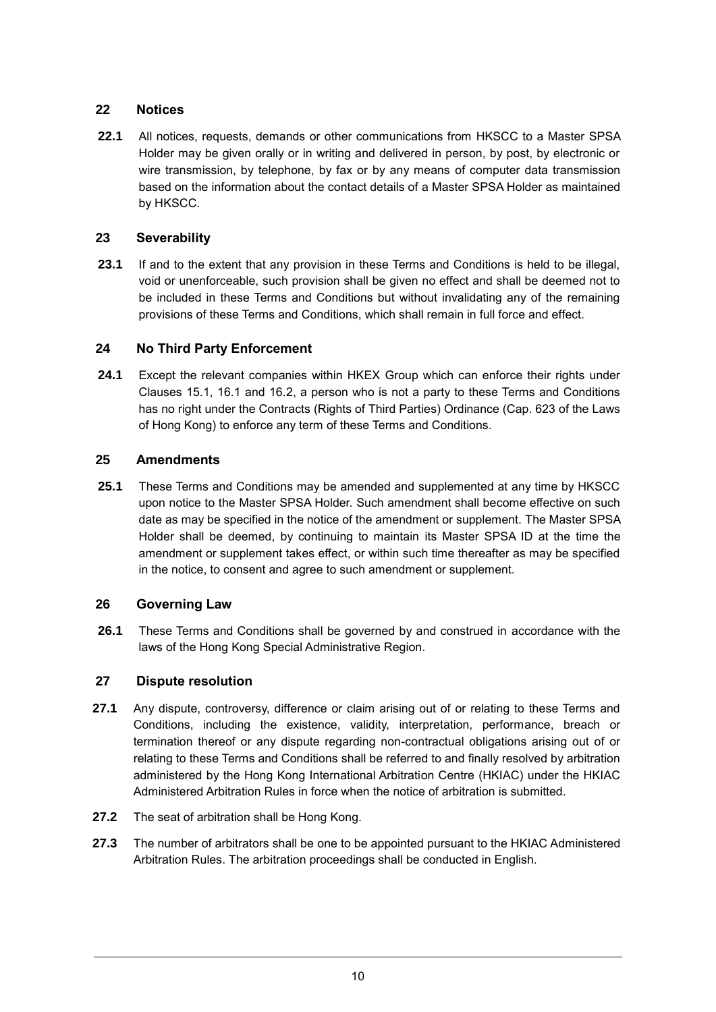# **22 Notices**

**22.1** All notices, requests, demands or other communications from HKSCC to a Master SPSA Holder may be given orally or in writing and delivered in person, by post, by electronic or wire transmission, by telephone, by fax or by any means of computer data transmission based on the information about the contact details of a Master SPSA Holder as maintained by HKSCC.

# **23 Severability**

**23.1** If and to the extent that any provision in these Terms and Conditions is held to be illegal, void or unenforceable, such provision shall be given no effect and shall be deemed not to be included in these Terms and Conditions but without invalidating any of the remaining provisions of these Terms and Conditions, which shall remain in full force and effect.

# **24 No Third Party Enforcement**

**24.1** Except the relevant companies within HKEX Group which can enforce their rights under Clauses 15.1, 16.1 and 16.2, a person who is not a party to these Terms and Conditions has no right under the Contracts (Rights of Third Parties) Ordinance (Cap. 623 of the Laws of Hong Kong) to enforce any term of these Terms and Conditions.

# **25 Amendments**

**25.1** These Terms and Conditions may be amended and supplemented at any time by HKSCC upon notice to the Master SPSA Holder. Such amendment shall become effective on such date as may be specified in the notice of the amendment or supplement. The Master SPSA Holder shall be deemed, by continuing to maintain its Master SPSA ID at the time the amendment or supplement takes effect, or within such time thereafter as may be specified in the notice, to consent and agree to such amendment or supplement.

# **26 Governing Law**

**26.1** These Terms and Conditions shall be governed by and construed in accordance with the laws of the Hong Kong Special Administrative Region.

# **27 Dispute resolution**

- **27.1** Any dispute, controversy, difference or claim arising out of or relating to these Terms and Conditions, including the existence, validity, interpretation, performance, breach or termination thereof or any dispute regarding non-contractual obligations arising out of or relating to these Terms and Conditions shall be referred to and finally resolved by arbitration administered by the Hong Kong International Arbitration Centre (HKIAC) under the HKIAC Administered Arbitration Rules in force when the notice of arbitration is submitted.
- **27.2** The seat of arbitration shall be Hong Kong.
- **27.3** The number of arbitrators shall be one to be appointed pursuant to the HKIAC Administered Arbitration Rules. The arbitration proceedings shall be conducted in English.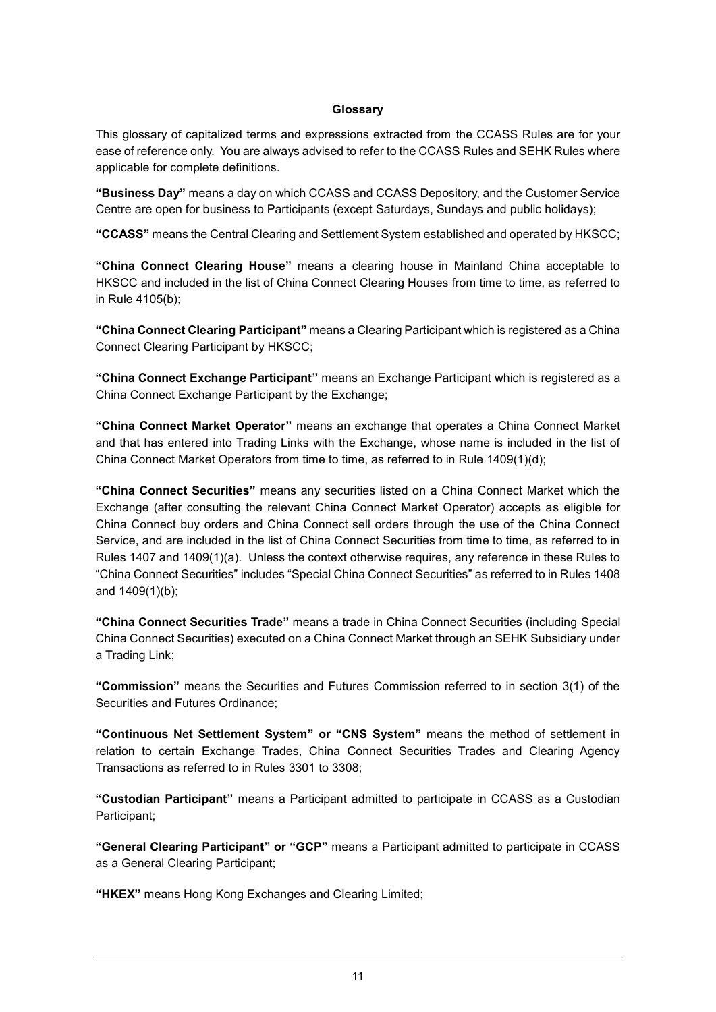#### **Glossary**

This glossary of capitalized terms and expressions extracted from the CCASS Rules are for your ease of reference only. You are always advised to refer to the CCASS Rules and SEHK Rules where applicable for complete definitions.

**"Business Day"** means a day on which CCASS and CCASS Depository, and the Customer Service Centre are open for business to Participants (except Saturdays, Sundays and public holidays);

**"CCASS"** means the Central Clearing and Settlement System established and operated by HKSCC;

**"China Connect Clearing House"** means a clearing house in Mainland China acceptable to HKSCC and included in the list of China Connect Clearing Houses from time to time, as referred to in Rule 4105(b);

**"China Connect Clearing Participant"** means a Clearing Participant which is registered as a China Connect Clearing Participant by HKSCC;

**"China Connect Exchange Participant"** means an Exchange Participant which is registered as a China Connect Exchange Participant by the Exchange;

**"China Connect Market Operator"** means an exchange that operates a China Connect Market and that has entered into Trading Links with the Exchange, whose name is included in the list of China Connect Market Operators from time to time, as referred to in Rule 1409(1)(d);

**"China Connect Securities"** means any securities listed on a China Connect Market which the Exchange (after consulting the relevant China Connect Market Operator) accepts as eligible for China Connect buy orders and China Connect sell orders through the use of the China Connect Service, and are included in the list of China Connect Securities from time to time, as referred to in Rules 1407 and 1409(1)(a). Unless the context otherwise requires, any reference in these Rules to "China Connect Securities" includes "Special China Connect Securities" as referred to in Rules 1408 and 1409(1)(b);

**"China Connect Securities Trade"** means a trade in China Connect Securities (including Special China Connect Securities) executed on a China Connect Market through an SEHK Subsidiary under a Trading Link;

**"Commission"** means the Securities and Futures Commission referred to in section 3(1) of the Securities and Futures Ordinance;

**"Continuous Net Settlement System" or "CNS System"** means the method of settlement in relation to certain Exchange Trades, China Connect Securities Trades and Clearing Agency Transactions as referred to in Rules 3301 to 3308;

**"Custodian Participant"** means a Participant admitted to participate in CCASS as a Custodian Participant;

**"General Clearing Participant" or "GCP"** means a Participant admitted to participate in CCASS as a General Clearing Participant;

**"HKEX"** means Hong Kong Exchanges and Clearing Limited;